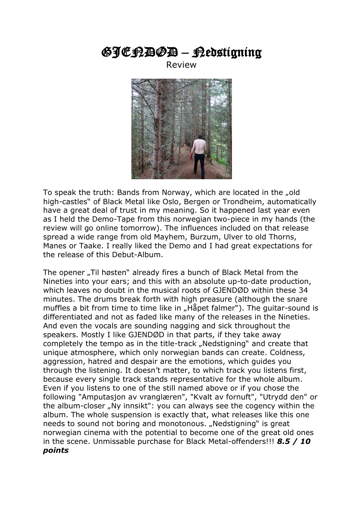## GJENDØD – Nedstigning

Review



To speak the truth: Bands from Norway, which are located in the "old high-castles" of Black Metal like Oslo, Bergen or Trondheim, automatically have a great deal of trust in my meaning. So it happened last year even as I held the Demo-Tape from this norwegian two-piece in my hands (the review will go online tomorrow). The influences included on that release spread a wide range from old Mayhem, Burzum, Ulver to old Thorns, Manes or Taake. I really liked the Demo and I had great expectations for the release of this Debut-Album.

The opener "Til høsten" already fires a bunch of Black Metal from the Nineties into your ears; and this with an absolute up-to-date production, which leaves no doubt in the musical roots of GJENDØD within these 34 minutes. The drums break forth with high preasure (although the snare muffles a bit from time to time like in "Håpet falmer"). The quitar-sound is differentiated and not as faded like many of the releases in the Nineties. And even the vocals are sounding nagging and sick throughout the speakers. Mostly I like GJENDØD in that parts, if they take away completely the tempo as in the title-track "Nedstigning" and create that unique atmosphere, which only norwegian bands can create. Coldness, aggression, hatred and despair are the emotions, which guides you through the listening. It doesn't matter, to which track you listens first, because every single track stands representative for the whole album. Even if you listens to one of the still named above or if you chose the following "Amputasjon av vranglæren", "Kvalt av fornuft", "Utrydd den" or the album-closer "Ny innsikt": you can always see the cogency within the album. The whole suspension is exactly that, what releases like this one needs to sound not boring and monotonous. "Nedstigning" is great norwegian cinema with the potential to become one of the great old ones in the scene. Unmissable purchase for Black Metal-offenders!!! *8.5 / 10 points*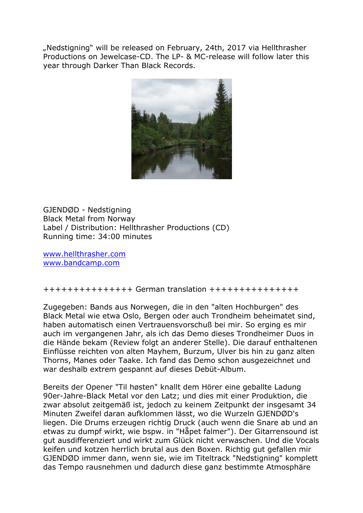"Nedstigning" will be released on February, 24th, 2017 via Hellthrasher Productions on Jewelcase-CD. The LP- & MC-release will follow later this year through Darker Than Black Records.



GJENDØD - Nedstigning Black Metal from Norway Label / Distribution: Hellthrasher Productions (CD) Running time: 34:00 minutes

[www.hellthrasher.com](http://hellthrasher.com/shop/) [www.bandcamp.com](https://hellthrasherproductions.bandcamp.com/music)

+++++++++++++++ German translation +++++++++++++++

Zugegeben: Bands aus Norwegen, die in den "alten Hochburgen" des Black Metal wie etwa Oslo, Bergen oder auch Trondheim beheimatet sind, haben automatisch einen Vertrauensvorschuß bei mir. So erging es mir auch im vergangenen Jahr, als ich das Demo dieses Trondheimer Duos in die Hände bekam (Review folgt an anderer Stelle). Die darauf enthaltenen Einflüsse reichten von alten Mayhem, Burzum, Ulver bis hin zu ganz alten Thorns, Manes oder Taake. Ich fand das Demo schon ausgezeichnet und war deshalb extrem gespannt auf dieses Debüt-Album.

Bereits der Opener "Til høsten" knallt dem Hörer eine geballte Ladung 90er-Jahre-Black Metal vor den Latz; und dies mit einer Produktion, die zwar absolut zeitgemäß ist, jedoch zu keinem Zeitpunkt der insgesamt 34 Minuten Zweifel daran aufklommen lässt, wo die Wurzeln GJENDØD's liegen. Die Drums erzeugen richtig Druck (auch wenn die Snare ab und an etwas zu dumpf wirkt, wie bspw. in "Håpet falmer"). Der Gitarrensound ist gut ausdifferenziert und wirkt zum Glück nicht verwaschen. Und die Vocals keifen und kotzen herrlich brutal aus den Boxen. Richtig gut gefallen mir GJENDØD immer dann, wenn sie, wie im Titeltrack "Nedstigning" komplett das Tempo rausnehmen und dadurch diese ganz bestimmte Atmosphäre